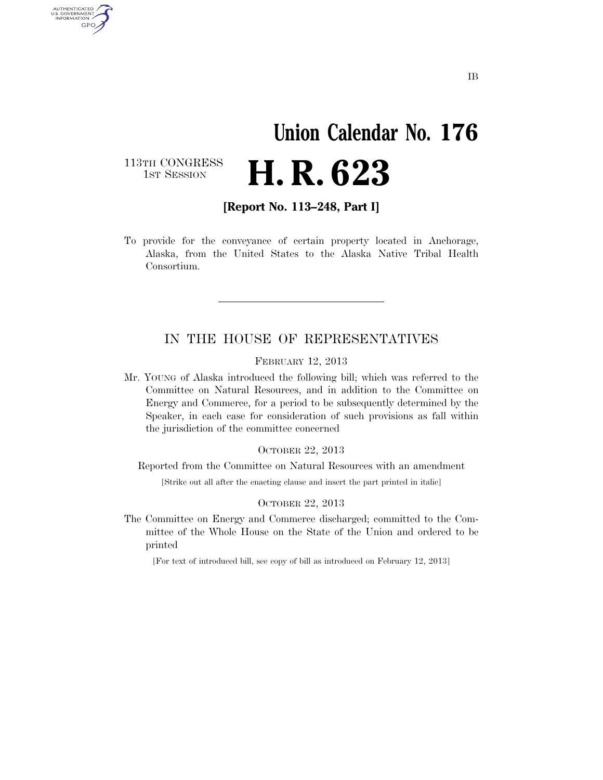# **Union Calendar No. 176**  H. R. 623

113TH CONGRESS<br>1st Session

AUTHENTICATED U.S. GOVERNMENT **GPO** 

**[Report No. 113–248, Part I]** 

To provide for the conveyance of certain property located in Anchorage, Alaska, from the United States to the Alaska Native Tribal Health Consortium.

### IN THE HOUSE OF REPRESENTATIVES

FEBRUARY 12, 2013

Mr. YOUNG of Alaska introduced the following bill; which was referred to the Committee on Natural Resources, and in addition to the Committee on Energy and Commerce, for a period to be subsequently determined by the Speaker, in each case for consideration of such provisions as fall within the jurisdiction of the committee concerned

#### OCTOBER 22, 2013

Reported from the Committee on Natural Resources with an amendment

[Strike out all after the enacting clause and insert the part printed in italic]

#### OCTOBER 22, 2013

The Committee on Energy and Commerce discharged; committed to the Committee of the Whole House on the State of the Union and ordered to be printed

[For text of introduced bill, see copy of bill as introduced on February 12, 2013]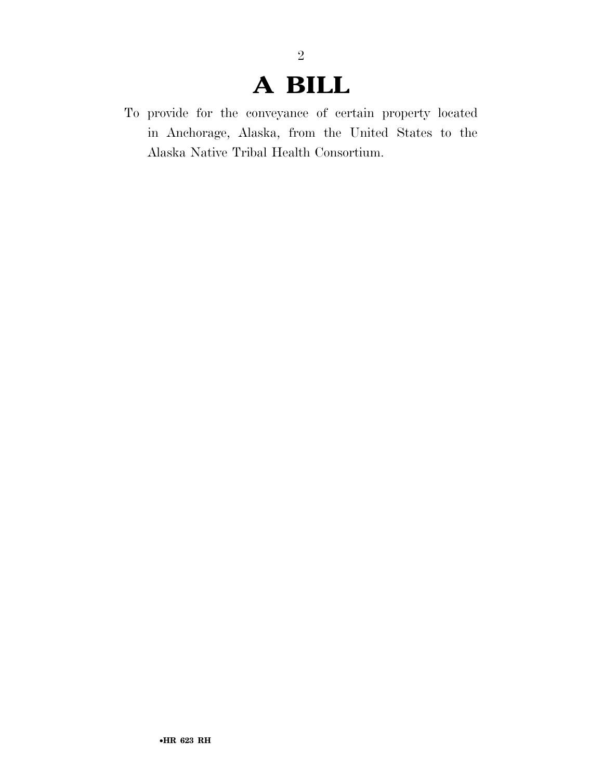### **A BILL**

2

To provide for the conveyance of certain property located in Anchorage, Alaska, from the United States to the Alaska Native Tribal Health Consortium.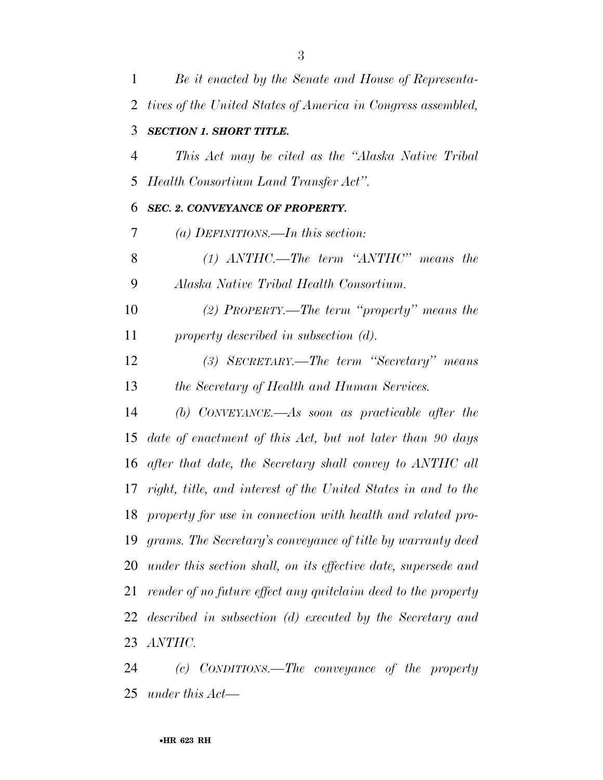*Be it enacted by the Senate and House of Representa- tives of the United States of America in Congress assembled, SECTION 1. SHORT TITLE. This Act may be cited as the ''Alaska Native Tribal Health Consortium Land Transfer Act''. SEC. 2. CONVEYANCE OF PROPERTY. (a) DEFINITIONS.—In this section: (1) ANTHC.—The term ''ANTHC'' means the Alaska Native Tribal Health Consortium. (2) PROPERTY.—The term ''property'' means the property described in subsection (d). (3) SECRETARY.—The term ''Secretary'' means the Secretary of Health and Human Services. (b) CONVEYANCE.—As soon as practicable after the date of enactment of this Act, but not later than 90 days after that date, the Secretary shall convey to ANTHC all right, title, and interest of the United States in and to the property for use in connection with health and related pro- grams. The Secretary's conveyance of title by warranty deed under this section shall, on its effective date, supersede and render of no future effect any quitclaim deed to the property described in subsection (d) executed by the Secretary and ANTHC.* 

 *(c) CONDITIONS.—The conveyance of the property under this Act—*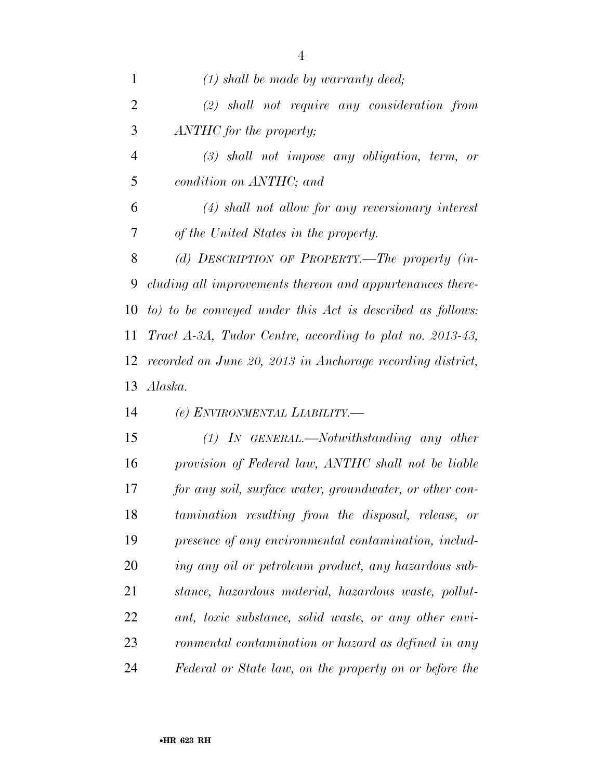*(1) shall be made by warranty deed; (2) shall not require any consideration from ANTHC for the property; (3) shall not impose any obligation, term, or condition on ANTHC; and (4) shall not allow for any reversionary interest of the United States in the property. (d) DESCRIPTION OF PROPERTY.—The property (in- cluding all improvements thereon and appurtenances there- to) to be conveyed under this Act is described as follows: Tract A-3A, Tudor Centre, according to plat no. 2013-43, recorded on June 20, 2013 in Anchorage recording district, Alaska. (e) ENVIRONMENTAL LIABILITY.— (1) IN GENERAL.—Notwithstanding any other provision of Federal law, ANTHC shall not be liable for any soil, surface water, groundwater, or other con- tamination resulting from the disposal, release, or presence of any environmental contamination, includ- ing any oil or petroleum product, any hazardous sub- stance, hazardous material, hazardous waste, pollut- ant, toxic substance, solid waste, or any other envi- ronmental contamination or hazard as defined in any Federal or State law, on the property on or before the*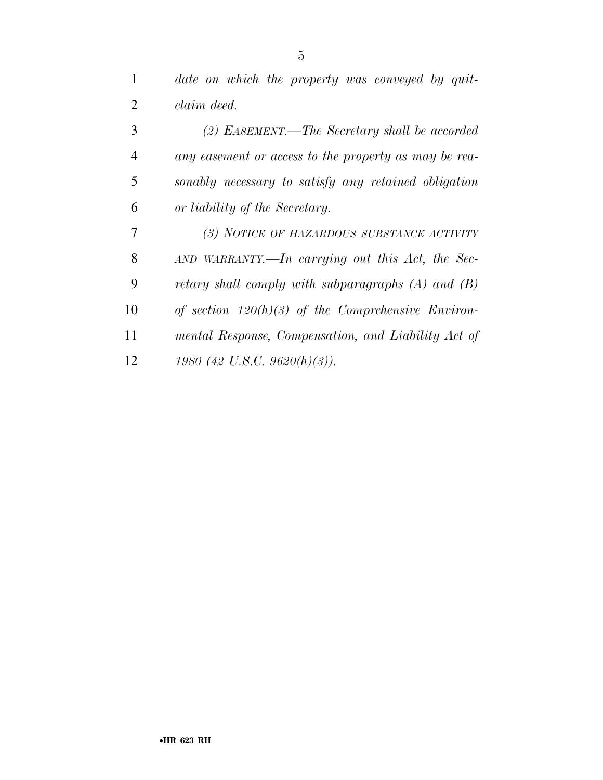| $\mathbf{1}$   | date on which the property was conveyed by quit-      |
|----------------|-------------------------------------------------------|
| 2              | claim deed.                                           |
| 3              | (2) EASEMENT.—The Secretary shall be accorded         |
| $\overline{4}$ | any easement or access to the property as may be rea- |
| 5              | sonably necessary to satisfy any retained obligation  |
| 6              | or liability of the Secretary.                        |

| 7  | (3) NOTICE OF HAZARDOUS SUBSTANCE ACTIVITY             |
|----|--------------------------------------------------------|
| 8  | $AND$ WARRANTY.—In carrying out this Act, the Sec-     |
| 9  | retary shall comply with subparagraphs $(A)$ and $(B)$ |
| 10 | of section $120(h)(3)$ of the Comprehensive Environ-   |
| 11 | mental Response, Compensation, and Liability Act of    |
| 12 | 1980 (42 U.S.C. 9620(h)(3)).                           |